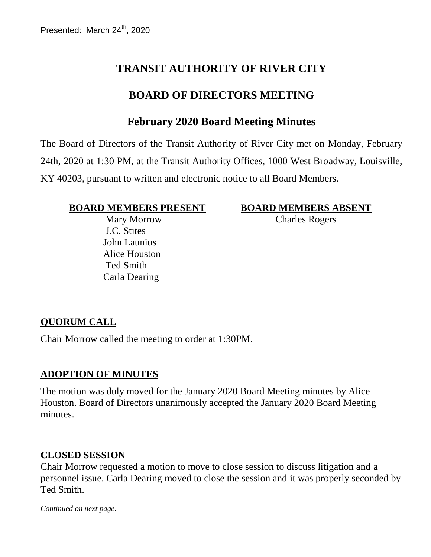# **TRANSIT AUTHORITY OF RIVER CITY**

# **BOARD OF DIRECTORS MEETING**

## **February 2020 Board Meeting Minutes**

The Board of Directors of the Transit Authority of River City met on Monday, February 24th, 2020 at 1:30 PM, at the Transit Authority Offices, 1000 West Broadway, Louisville, KY 40203, pursuant to written and electronic notice to all Board Members.

#### **BOARD MEMBERS PRESENT BOARD MEMBERS ABSENT**

 Mary Morrow J.C. Stites John Launius Alice Houston Ted Smith Carla Dearing

Charles Rogers

### **QUORUM CALL**

Chair Morrow called the meeting to order at 1:30PM.

#### **ADOPTION OF MINUTES**

The motion was duly moved for the January 2020 Board Meeting minutes by Alice Houston. Board of Directors unanimously accepted the January 2020 Board Meeting minutes.

#### **CLOSED SESSION**

Chair Morrow requested a motion to move to close session to discuss litigation and a personnel issue. Carla Dearing moved to close the session and it was properly seconded by Ted Smith.

*Continued on next page.*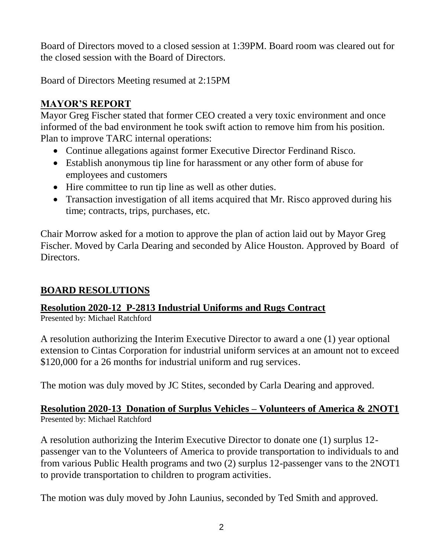Board of Directors moved to a closed session at 1:39PM. Board room was cleared out for the closed session with the Board of Directors.

Board of Directors Meeting resumed at 2:15PM

# **MAYOR'S REPORT**

Mayor Greg Fischer stated that former CEO created a very toxic environment and once informed of the bad environment he took swift action to remove him from his position. Plan to improve TARC internal operations:

- Continue allegations against former Executive Director Ferdinand Risco.
- Establish anonymous tip line for harassment or any other form of abuse for employees and customers
- Hire committee to run tip line as well as other duties.
- Transaction investigation of all items acquired that Mr. Risco approved during his time; contracts, trips, purchases, etc.

Chair Morrow asked for a motion to approve the plan of action laid out by Mayor Greg Fischer. Moved by Carla Dearing and seconded by Alice Houston. Approved by Board of Directors.

## **BOARD RESOLUTIONS**

# **Resolution 2020-12 P-2813 Industrial Uniforms and Rugs Contract**

Presented by: Michael Ratchford

A resolution authorizing the Interim Executive Director to award a one (1) year optional extension to Cintas Corporation for industrial uniform services at an amount not to exceed \$120,000 for a 26 months for industrial uniform and rug services.

The motion was duly moved by JC Stites, seconded by Carla Dearing and approved.

### **Resolution 2020-13 Donation of Surplus Vehicles – Volunteers of America & 2NOT1** Presented by: Michael Ratchford

A resolution authorizing the Interim Executive Director to donate one (1) surplus 12 passenger van to the Volunteers of America to provide transportation to individuals to and from various Public Health programs and two (2) surplus 12-passenger vans to the 2NOT1 to provide transportation to children to program activities.

The motion was duly moved by John Launius, seconded by Ted Smith and approved.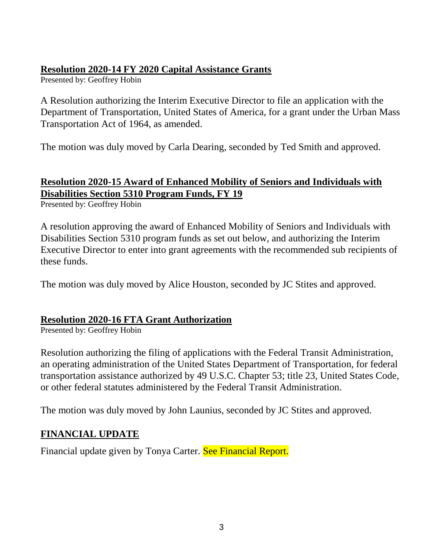### **Resolution 2020-14 FY 2020 Capital Assistance Grants**

Presented by: Geoffrey Hobin

A Resolution authorizing the Interim Executive Director to file an application with the Department of Transportation, United States of America, for a grant under the Urban Mass Transportation Act of 1964, as amended.

The motion was duly moved by Carla Dearing, seconded by Ted Smith and approved.

# **Resolution 2020-15 Award of Enhanced Mobility of Seniors and Individuals with Disabilities Section 5310 Program Funds, FY 19**

Presented by: Geoffrey Hobin

A resolution approving the award of Enhanced Mobility of Seniors and Individuals with Disabilities Section 5310 program funds as set out below, and authorizing the Interim Executive Director to enter into grant agreements with the recommended sub recipients of these funds.

The motion was duly moved by Alice Houston, seconded by JC Stites and approved.

### **Resolution 2020-16 FTA Grant Authorization**

Presented by: Geoffrey Hobin

Resolution authorizing the filing of applications with the Federal Transit Administration, an operating administration of the United States Department of Transportation, for federal transportation assistance authorized by 49 U.S.C. Chapter 53; title 23, United States Code, or other federal statutes administered by the Federal Transit Administration.

The motion was duly moved by John Launius, seconded by JC Stites and approved.

## **FINANCIAL UPDATE**

Financial update given by Tonya Carter. See Financial Report.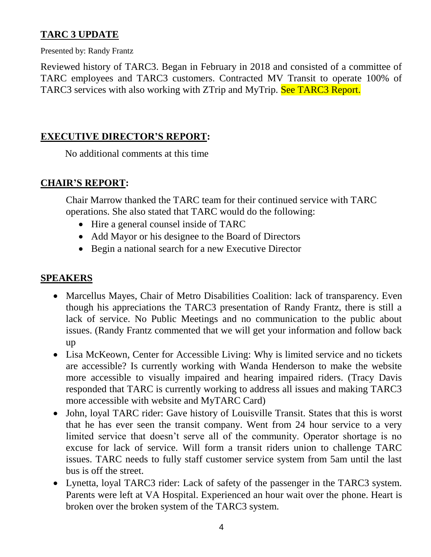## **TARC 3 UPDATE**

Presented by: Randy Frantz

Reviewed history of TARC3. Began in February in 2018 and consisted of a committee of TARC employees and TARC3 customers. Contracted MV Transit to operate 100% of TARC3 services with also working with ZTrip and MyTrip. See TARC3 Report.

### **EXECUTIVE DIRECTOR'S REPORT:**

No additional comments at this time

### **CHAIR'S REPORT:**

Chair Marrow thanked the TARC team for their continued service with TARC operations. She also stated that TARC would do the following:

- Hire a general counsel inside of TARC
- Add Mayor or his designee to the Board of Directors
- Begin a national search for a new Executive Director

#### **SPEAKERS**

- Marcellus Mayes, Chair of Metro Disabilities Coalition: lack of transparency. Even though his appreciations the TARC3 presentation of Randy Frantz, there is still a lack of service. No Public Meetings and no communication to the public about issues. (Randy Frantz commented that we will get your information and follow back up
- Lisa McKeown, Center for Accessible Living: Why is limited service and no tickets are accessible? Is currently working with Wanda Henderson to make the website more accessible to visually impaired and hearing impaired riders. (Tracy Davis responded that TARC is currently working to address all issues and making TARC3 more accessible with website and MyTARC Card)
- John, loyal TARC rider: Gave history of Louisville Transit. States that this is worst that he has ever seen the transit company. Went from 24 hour service to a very limited service that doesn't serve all of the community. Operator shortage is no excuse for lack of service. Will form a transit riders union to challenge TARC issues. TARC needs to fully staff customer service system from 5am until the last bus is off the street.
- Lynetta, loyal TARC3 rider: Lack of safety of the passenger in the TARC3 system. Parents were left at VA Hospital. Experienced an hour wait over the phone. Heart is broken over the broken system of the TARC3 system.